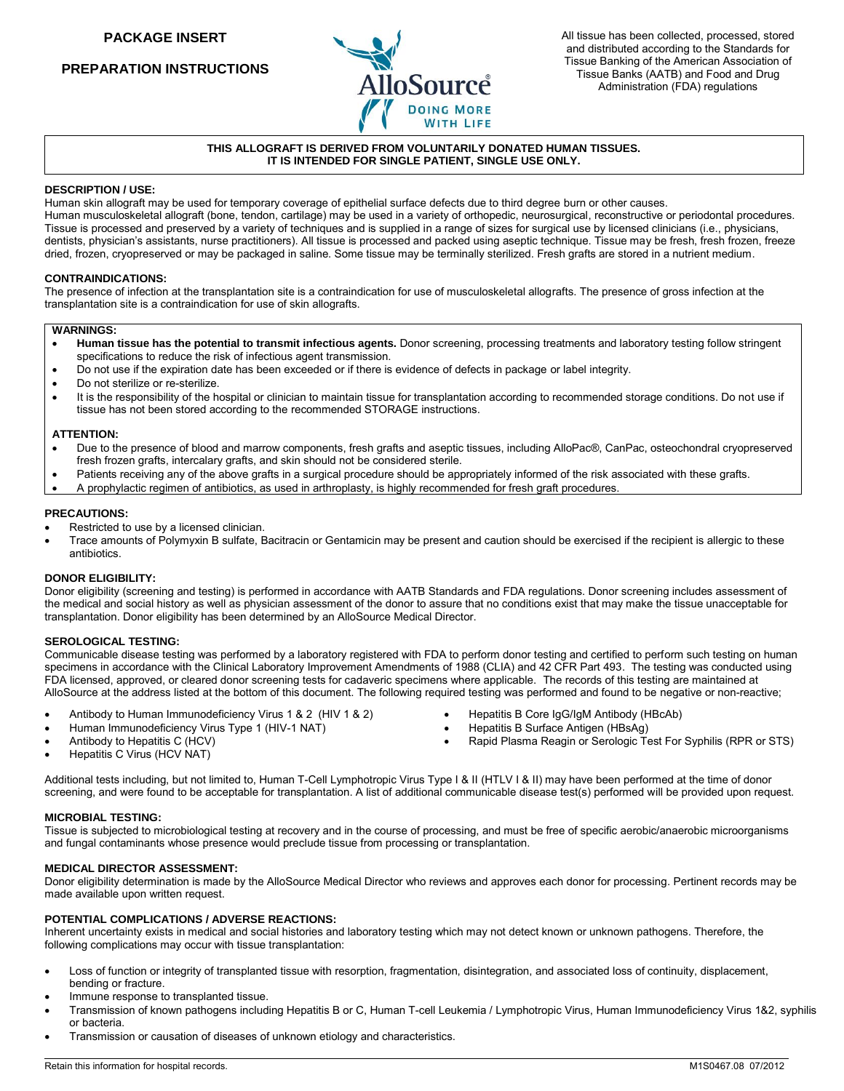**PREPARATION INSTRUCTIONS**



## **THIS ALLOGRAFT IS DERIVED FROM VOLUNTARILY DONATED HUMAN TISSUES. IT IS INTENDED FOR SINGLE PATIENT, SINGLE USE ONLY.**

## **DESCRIPTION / USE:**

Human skin allograft may be used for temporary coverage of epithelial surface defects due to third degree burn or other causes. Human musculoskeletal allograft (bone, tendon, cartilage) may be used in a variety of orthopedic, neurosurgical, reconstructive or periodontal procedures. Tissue is processed and preserved by a variety of techniques and is supplied in a range of sizes for surgical use by licensed clinicians (i.e., physicians, dentists, physician's assistants, nurse practitioners). All tissue is processed and packed using aseptic technique. Tissue may be fresh, fresh frozen, freeze dried, frozen, cryopreserved or may be packaged in saline. Some tissue may be terminally sterilized. Fresh grafts are stored in a nutrient medium.

#### **CONTRAINDICATIONS:**

The presence of infection at the transplantation site is a contraindication for use of musculoskeletal allografts. The presence of gross infection at the transplantation site is a contraindication for use of skin allografts.

## **WARNINGS:**

- **Human tissue has the potential to transmit infectious agents.** Donor screening, processing treatments and laboratory testing follow stringent specifications to reduce the risk of infectious agent transmission.
- Do not use if the expiration date has been exceeded or if there is evidence of defects in package or label integrity.
- Do not sterilize or re-sterilize.
- It is the responsibility of the hospital or clinician to maintain tissue for transplantation according to recommended storage conditions. Do not use if tissue has not been stored according to the recommended STORAGE instructions.

#### **ATTENTION:**

- Due to the presence of blood and marrow components, fresh grafts and aseptic tissues, including AlloPac®, CanPac, osteochondral cryopreserved fresh frozen grafts, intercalary grafts, and skin should not be considered sterile.
- Patients receiving any of the above grafts in a surgical procedure should be appropriately informed of the risk associated with these grafts.
- A prophylactic regimen of antibiotics, as used in arthroplasty, is highly recommended for fresh graft procedures.

## **PRECAUTIONS:**

- Restricted to use by a licensed clinician.
- Trace amounts of Polymyxin B sulfate, Bacitracin or Gentamicin may be present and caution should be exercised if the recipient is allergic to these antibiotics.

#### **DONOR ELIGIBILITY:**

Donor eligibility (screening and testing) is performed in accordance with AATB Standards and FDA regulations. Donor screening includes assessment of the medical and social history as well as physician assessment of the donor to assure that no conditions exist that may make the tissue unacceptable for transplantation. Donor eligibility has been determined by an AlloSource Medical Director.

#### **SEROLOGICAL TESTING:**

Communicable disease testing was performed by a laboratory registered with FDA to perform donor testing and certified to perform such testing on human specimens in accordance with the Clinical Laboratory Improvement Amendments of 1988 (CLIA) and 42 CFR Part 493. The testing was conducted using FDA licensed, approved, or cleared donor screening tests for cadaveric specimens where applicable. The records of this testing are maintained at AlloSource at the address listed at the bottom of this document. The following required testing was performed and found to be negative or non-reactive;

- Antibody to Human Immunodeficiency Virus 1 & 2 (HIV 1 & 2)
- Human Immunodeficiency Virus Type 1 (HIV-1 NAT)
- Hepatitis B Core IgG/IgM Antibody (HBcAb)
- Hepatitis B Surface Antigen (HBsAg)
- Rapid Plasma Reagin or Serologic Test For Syphilis (RPR or STS)

 $\overline{\phantom{a}}$ 

 Antibody to Hepatitis C (HCV) Hepatitis C Virus (HCV NAT)

Additional tests including, but not limited to, Human T-Cell Lymphotropic Virus Type I & II (HTLV I & II) may have been performed at the time of donor screening, and were found to be acceptable for transplantation. A list of additional communicable disease test(s) performed will be provided upon request.

#### **MICROBIAL TESTING:**

Tissue is subjected to microbiological testing at recovery and in the course of processing, and must be free of specific aerobic/anaerobic microorganisms and fungal contaminants whose presence would preclude tissue from processing or transplantation.

#### **MEDICAL DIRECTOR ASSESSMENT:**

Donor eligibility determination is made by the AlloSource Medical Director who reviews and approves each donor for processing. Pertinent records may be made available upon written request.

## **POTENTIAL COMPLICATIONS / ADVERSE REACTIONS:**

Inherent uncertainty exists in medical and social histories and laboratory testing which may not detect known or unknown pathogens. Therefore, the following complications may occur with tissue transplantation:

- Loss of function or integrity of transplanted tissue with resorption, fragmentation, disintegration, and associated loss of continuity, displacement, bending or fracture.
- Immune response to transplanted tissue.
- Transmission of known pathogens including Hepatitis B or C, Human T-cell Leukemia / Lymphotropic Virus, Human Immunodeficiency Virus 1&2, syphilis or bacteria.
- Transmission or causation of diseases of unknown etiology and characteristics.